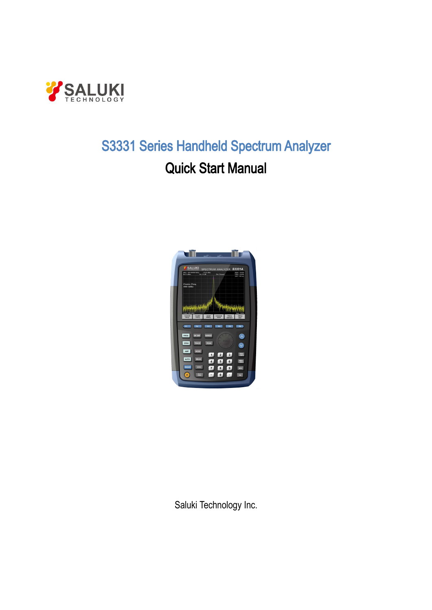

# **JKI<br>S3331 Series Handheld Spectrum Analyzer<br>Quick Start Manual** Quick Start Manual

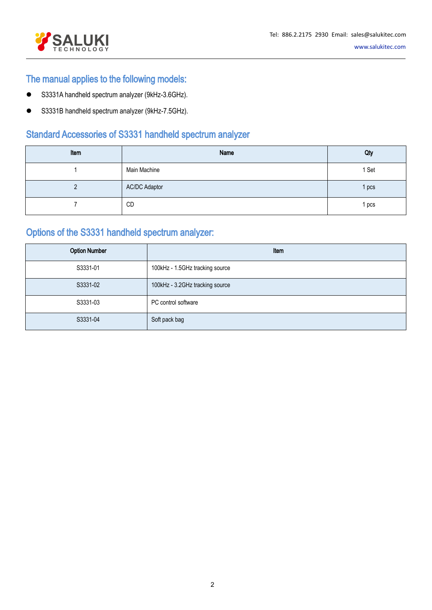

# The manual applies to the following models:

- S3331A handheld spectrum analyzer (9kHz-3.6GHz).
- S3331B handheld spectrum analyzer (9kHz-7.5GHz).

| <b>SALUKI</b>                                    |                      |                                                                 | Tel: 886.2.2175 2930 Email: sales@salukitec.com<br>www.salukitec.com |
|--------------------------------------------------|----------------------|-----------------------------------------------------------------|----------------------------------------------------------------------|
| The manual applies to the following models:      |                      |                                                                 |                                                                      |
| S3331A handheld spectrum analyzer (9kHz-3.6GHz). |                      |                                                                 |                                                                      |
| S3331B handheld spectrum analyzer (9kHz-7.5GHz). |                      |                                                                 |                                                                      |
|                                                  |                      |                                                                 |                                                                      |
|                                                  |                      | <b>Standard Accessories of S3331 handheld spectrum analyzer</b> |                                                                      |
| Item                                             |                      | Name                                                            | Qty                                                                  |
| 1                                                | Main Machine         |                                                                 | 1 Set                                                                |
| $\overline{2}$                                   | <b>AC/DC Adaptor</b> |                                                                 | 1 pcs                                                                |
| $\overline{7}$                                   | CD                   |                                                                 | 1 pcs                                                                |
| Options of the S3331 handheld spectrum analyzer: |                      |                                                                 |                                                                      |
| <b>Option Number</b>                             |                      |                                                                 | Item                                                                 |

|                      | Main Machine                                     |                                 | 1 Set |  |  |
|----------------------|--------------------------------------------------|---------------------------------|-------|--|--|
| $\overline{2}$       | <b>AC/DC Adaptor</b>                             |                                 | 1 pcs |  |  |
| 7                    | CD                                               |                                 | 1 pcs |  |  |
|                      | Options of the S3331 handheld spectrum analyzer: |                                 |       |  |  |
| <b>Option Number</b> |                                                  | Item                            |       |  |  |
| S3331-01             |                                                  | 100kHz - 1.5GHz tracking source |       |  |  |
| S3331-02             |                                                  | 100kHz - 3.2GHz tracking source |       |  |  |
| S3331-03             |                                                  | PC control software             |       |  |  |
| S3331-04             |                                                  | Soft pack bag                   |       |  |  |
|                      |                                                  |                                 |       |  |  |
|                      |                                                  |                                 |       |  |  |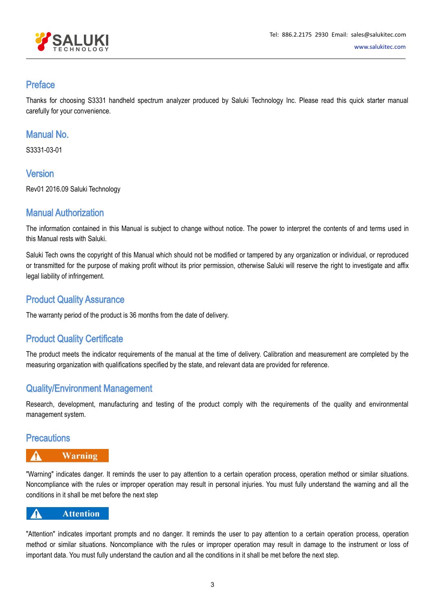

# Preface

Thanks for choosing S3331 handheld spectrum analyzer produced by Saluki Technology Inc. Please read this quick starter manual carefully for your convenience.

# Manual No.

S3331-03-01

# Version

Rev01 2016.09 Saluki Technology

# Manual Authorization

The information contained in this Manual is subject to change without notice. The power to interpret the contents of and terms used in this Manual rests with Saluki.

Saluki Tech owns the copyright of this Manual which should not be modified or tampered by any organization or individual, or reproduced or transmitted for the purpose of making profit without its prior permission, otherwise Saluki will reserve the right to investigate and affix legal liability of infringement.

# Product Quality Assurance

The warranty period of the product is 36 months from the date of delivery.

# Product Quality Certificate

The product meets the indicator requirements of the manual at the time of delivery. Calibration and measurement are completed by the measuring organization with qualifications specified by the state, and relevant data are provided for reference.

# Quality/Environment Management

Research, development, manufacturing and testing of the product comply with the requirements of the quality and environmental management system.

# **Precautions**

# **Warning**

"Warning" indicates danger. It reminds the user to pay attention to a certain operation process, operation method or similar situations. Noncompliance with the rules or improper operation may result in personal injuries. You must fully understand the warning and all the conditions in it shall be met before the next step

# **Attention**

"Attention" indicates important prompts and no danger. It reminds the user to pay attention to a certain operation process, operation method or similar situations. Noncompliance with the rules or improper operation may result in damage to the instrument or loss of important data. You must fully understand the caution and all the conditions in it shall be met before the next step.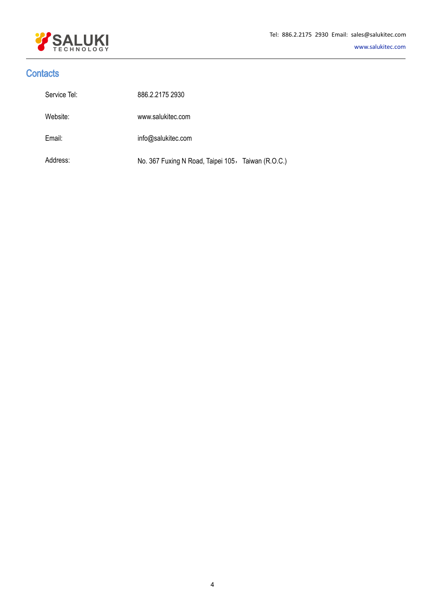

# **Contacts**

| Service Tel: | 886.2.2175 2930                                    |
|--------------|----------------------------------------------------|
| Website:     | www.salukitec.com                                  |
| Email:       | info@salukitec.com                                 |
| Address:     | No. 367 Fuxing N Road, Taipei 105, Taiwan (R.O.C.) |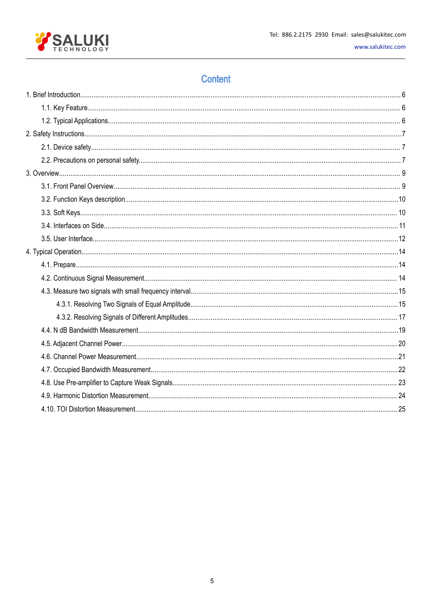

# Content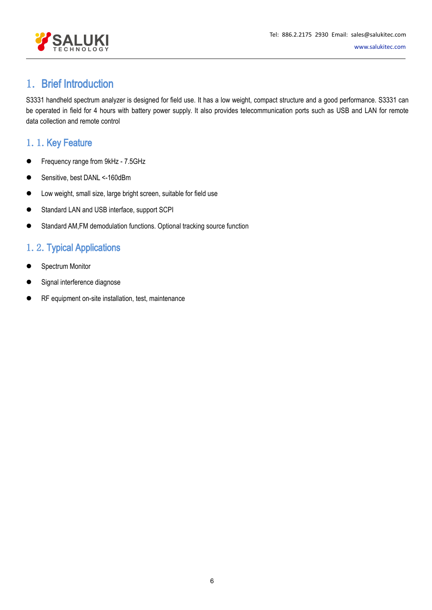

# <span id="page-5-1"></span><span id="page-5-0"></span>1. Brief Introduction

S3331 handheld spectrum analyzer is designed for field use. It has a low weight, compact structure and a good performance. S3331 can be operated in field for 4 hours with battery power supply. It also provides telecommunication ports such as USB and LAN for remote data collection and remote control

# 1. 1. Key Feature

- Frequency range from 9kHz 7.5GHz
- Sensitive, best DANL <-160dBm
- Low weight, small size, large bright screen, suitable for field use
- Standard LAN and USB interface, support SCPI
- Standard AM,FM demodulation functions. Optional tracking source function

# 1.2.Typical Applications

- Spectrum Monitor
- [Signal](https://cn.bing.com/dict/clientsearch?mkt=zh-CN&setLang=zh&form=BDVEHC&ClientVer=BDDTV3.5.1.4320&q=%E4%BF%A1%E5%8F%B7%E5%B9%B2%E6%89%B0) [interference](https://cn.bing.com/dict/clientsearch?mkt=zh-CN&setLang=zh&form=BDVEHC&ClientVer=BDDTV3.5.1.4320&q=%E4%BF%A1%E5%8F%B7%E5%B9%B2%E6%89%B0) diagnose
- RF equipment on-site installation, test, maintenance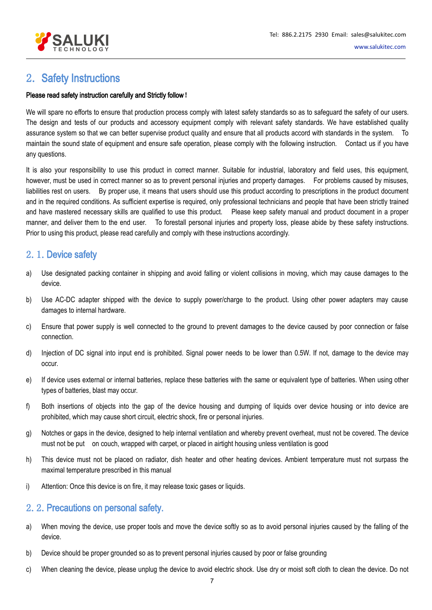

# <span id="page-6-1"></span><span id="page-6-0"></span>2. Safety Instructions

### Please read safety instruction carefully and Strictly follow!

We will spare no efforts to ensure that production process comply with latest safety standards so as to safeguard the safety of our users. The design and tests of our products and accessory equipment comply with relevant safety standards. We have established quality assurance system so that we can better supervise product quality and ensure that all products accord with standards in the system. To maintain the sound state of equipment and ensure safe operation, please comply with the following instruction. Contact us if you have any questions.

It is also your responsibility to use this product in correct manner. Suitable for industrial, laboratory and field uses, this equipment, however, must be used in correct manner so as to prevent personal injuries and property damages. For problems caused by misuses, liabilities rest on users. By properuse, it means that users should use this product according to prescriptions in the product document and in the required conditions. As sufficient expertise is required, only professional technicians and people that have been strictly trained and have mastered necessary skills are qualified to use this product. Please keep safety manual and product document in a proper manner, and deliver them to the end user. To forestall personal injuries and property loss, please abide by these safety instructions. Prior to using this product, please read carefully and comply with these instructions accordingly.

# 2.1.Device safety

- a) Use designated packing container in shipping and avoid falling or violent collisions in moving, which may cause damages to the device.
- b) Use AC-DC adapter shipped with the device to supply power/charge to the product. Using other power adapters may cause damages to internal hardware.
- c) Ensure that power supply is well connected to the ground to prevent damages to the device caused by poor connection or false connection.
- d) Injection of DC signal into input end is prohibited. Signal power needs to be lowerthan 0.5W. If not, damage to the device may occur.
- e) If device uses external or internal batteries, replace these batteries with the same or equivalent type of batteries. When using other types of batteries, blast may occur.
- f) Both insertions of objects into the gap of the device housing and dumping of liquids over device housing or into device are prohibited, which may cause short circuit, electric shock, fire or personal injuries.
- g) Notches or gaps in the device, designed to help internal ventilation and whereby prevent overheat, must not be covered. The device must not be put on couch, wrapped with carpet, or placed in airtight housing unless ventilation is good
- h) This device must not be placed on radiator, dish heater and other heating devices. Ambient temperature must not surpass the maximal temperature prescribed in this manual
- i) Attention: Once this device is on fire, it may release toxic gases or liquids.

# 2.2.Precautions on personal safety.

- a) When moving the device, use proper tools and move the device softly so as to avoid personal injuries caused by the falling of the device.
- b) Device should be proper grounded so as to prevent personal injuries caused by poor or false grounding
- c) When cleaning the device, please unplug the device to avoid electric shock. Use dry or moist soft cloth to clean the device. Do not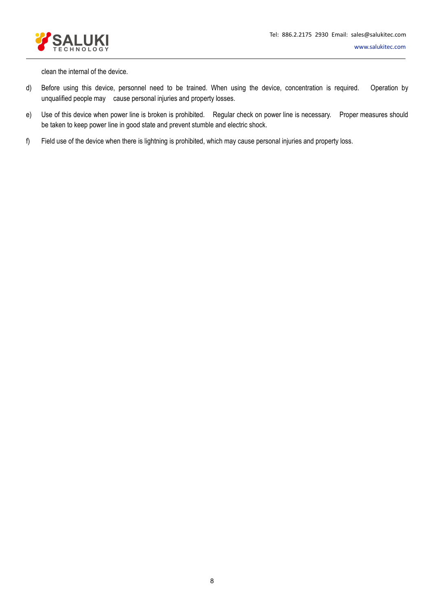



clean the internal of the device.

- d) Before using this device, personnel need to be trained. When using the device, concentration is required. Operation by unqualified people may cause personal injuries and property losses.
- e) Use of this device when power line is broken is prohibited. Regular check on power line is necessary. Proper measures should be taken to keep power line in good state and prevent stumble and electric shock.
- f) Field use of the device when there is lightning is prohibited, which may cause personal injuries and property loss.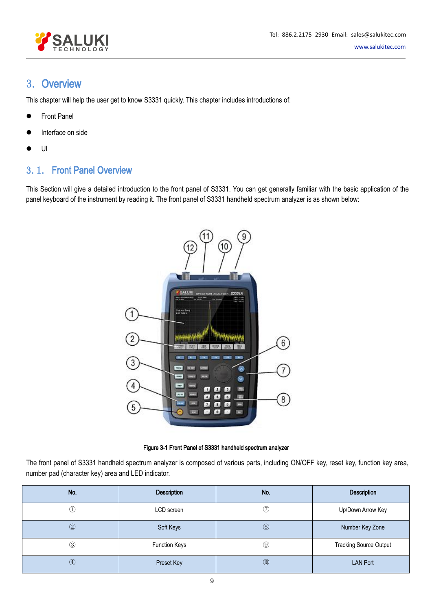

# <span id="page-8-1"></span><span id="page-8-0"></span>3. Overview

This chapter will help the user get to know S3331 quickly. This chapter includes introductions of:

- Front Panel
- Interface on side
- $\bullet$  UI and the set of  $\bullet$

# 3.1. Front Panel Overview

This Section will give a detailed introduction to the front panel of S3331. You can get generally familiar with the basic application of the panel keyboard of the instrument by reading it. The front panel of S3331 handheld spectrum analyzer is as shown below:



Figure 3-1 Front Panel of S3331 handheld spectrum analyzer

The front panel of S3331 handheld spectrum analyzer is composed of various parts, including ON/OFF key, reset key, function key area, number pad (character key) area and LED indicator.

| No.           | Description          | No.           | Description                   |
|---------------|----------------------|---------------|-------------------------------|
| F             | LCD screen           | T             | Up/Down Arrow Key             |
| $\circled{2}$ | Soft Keys            | $\circledS$   | Number Key Zone               |
| $\circledS$   | <b>Function Keys</b> | $\circled{9}$ | <b>Tracking Source Output</b> |
| $\circled{4}$ | Preset Key           | $\circledR$   | <b>LAN Port</b>               |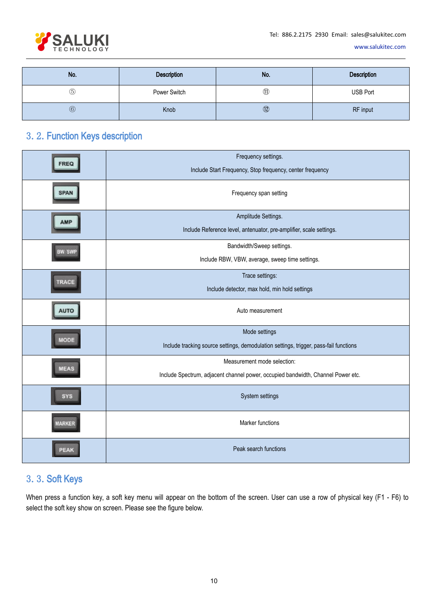

<span id="page-9-0"></span>

| No.            | Description  | No.                                  | Description     |
|----------------|--------------|--------------------------------------|-----------------|
| $\circledS$    | Power Switch | $^{\circledR}$                       | <b>USB Port</b> |
| $\circledcirc$ | Knob         | $^{\textcircled{\footnotesize{12}}}$ | RF input        |

# 3.2.Function Keys description

|             | Frequency settings.<br>Include Start Frequency, Stop frequency, center frequency                                |
|-------------|-----------------------------------------------------------------------------------------------------------------|
| <b>SPAN</b> | Frequency span setting                                                                                          |
|             | Amplitude Settings.<br>Include Reference level, antenuator, pre-amplifier, scale settings.                      |
| BW SWI      | Bandwidth/Sweep settings.<br>Include RBW, VBW, average, sweep time settings.                                    |
| TRACE       | Trace settings:<br>Include detector, max hold, min hold settings                                                |
|             | Auto measurement                                                                                                |
| MODE        | Mode settings<br>Include tracking source settings, demodulation settings, trigger, pass-fail functions          |
| MEAS        | Measurement mode selection:<br>Include Spectrum, adjacent channel power, occupied bandwidth, Channel Power etc. |
|             | System settings                                                                                                 |
| MARKER      | Marker functions                                                                                                |
| PEAR        | Peak search functions                                                                                           |

# 3.3.Soft Keys

When press a function key, a soft key menu will appear on the bottom of the screen. User can use a row of physical key (F1 - F6) to select the soft key show on screen. Please see the figure below.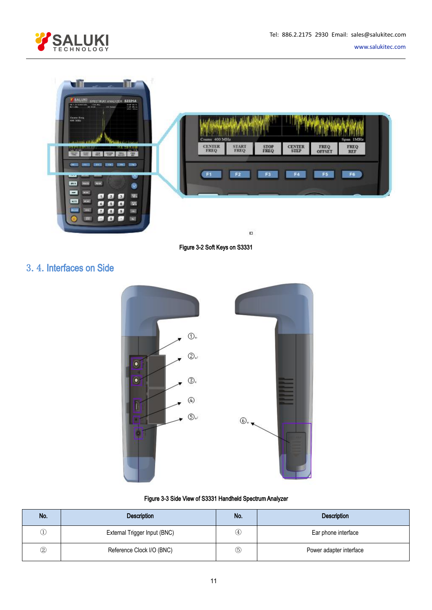



<span id="page-10-0"></span>

| $\sim$ $\sim$ 10<br>SALURI SPECTRUY AVALIZER S2221A<br>Mill and Monday from the about<br><b>STAR MORE</b><br>Actions at this<br><b>STA Tomas</b><br><b>SWELLING</b>                                                                           |                                                                |                                                          |
|-----------------------------------------------------------------------------------------------------------------------------------------------------------------------------------------------------------------------------------------------|----------------------------------------------------------------|----------------------------------------------------------|
| Cewer Freq.<br>400 MHz                                                                                                                                                                                                                        | Center 400 MHz<br><b>CENTER</b><br><b>START</b><br><b>STOP</b> | Span 1MHz<br><b>CENTER</b><br><b>FREQ</b><br><b>FREQ</b> |
| $\frac{1}{2}$<br><b>1922</b><br><b>WW</b><br><b>SILE</b><br>205<br><b>MAG</b><br><b>MAG</b><br>-944.95<br><b>BIGGS</b><br><b>CALL IT</b><br><b>Sin3</b><br>$11 -$<br>w<br>194.9<br><b>DOM:</b><br>m<br>×                                      | F <sub>2</sub><br>F <sub>3</sub><br>F <sub>1</sub>             | F4<br>F5<br>F6.                                          |
| ga.<br>La J<br>$-3.1$<br>$\mathbf{z}$<br>M.T.<br>œ<br><b>PR</b><br>$6$ $5$<br>$\left[ \begin{array}{c} 6 \end{array} \right]$<br>muu<br><b>STATE</b><br>$\mathbf{r}$<br>ľв.<br>is l<br>Stay.<br>$\sim$<br>Sky.<br>5.12<br><b>BREE</b><br>Cor. |                                                                |                                                          |
| <b>BARKANIA</b><br><b>REAL PROPERTY</b><br>ur<br><b>COR</b>                                                                                                                                                                                   | FREQ<br><b>FREO</b><br><b>FREQ</b><br>$\Box$                   | <b>STEP</b><br><b>OFFSET</b><br><b>REF</b>               |

Figure 3-2 Soft Keys on S3331

# 3.4.Interfaces on Side



### Figure 3-3 Side View of S3331 Handheld SpectrumAnalyzer

| No.      | <b>Description</b>           | No.               | <b>Description</b>      |
|----------|------------------------------|-------------------|-------------------------|
|          | External Trigger Input (BNC) | $\left( 4\right)$ | Ear phone interface     |
| $\rm(2)$ | Reference Clock I/O (BNC)    | $_{\circledS}$    | Power adapter interface |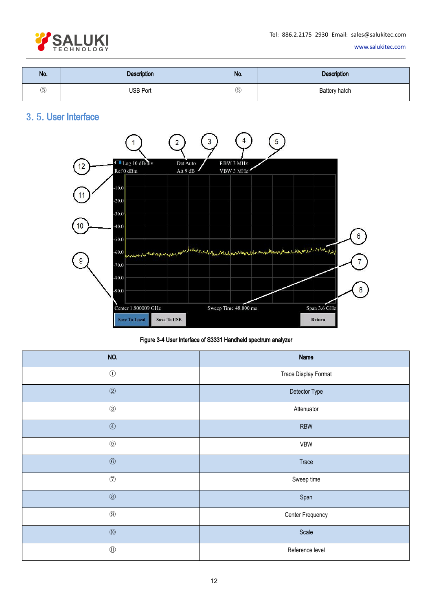

<span id="page-11-0"></span>

| No.         | Description     | No.           | <b>Description</b> |
|-------------|-----------------|---------------|--------------------|
| $\circledS$ | <b>USB Port</b> | $^\copyright$ | Battery hatch      |

# 3.5.User Interface



Figure 3-4 User Interface of S3331 Handheld spectrum analyzer

| NO.                             | Name                 |
|---------------------------------|----------------------|
| $\odot$                         | Trace Display Format |
| $^{\copyright}$                 | Detector Type        |
| $\circledS$                     | Attenuator           |
| $\textcircled{\scriptsize 4}$   | <b>RBW</b>           |
| $\circledS$                     | VBW                  |
| $^\copyright$                   | Trace                |
| $\circledT$                     | Sweep time           |
| $\circledS$                     | Span                 |
| $\circledS$                     | Center Frequency     |
| $\textcircled{\scriptsize{10}}$ | Scale                |
| $^\circledR$                    | Reference level      |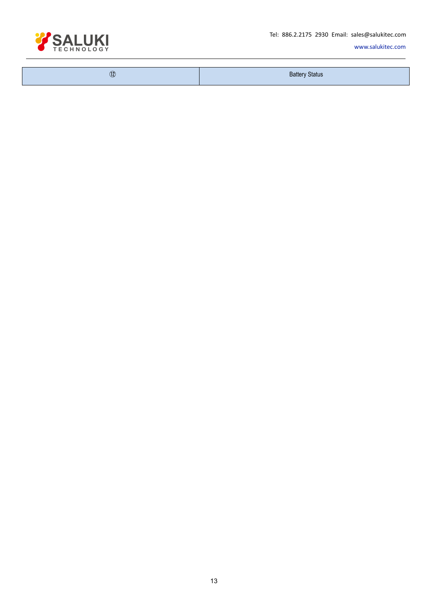Tel: 886.2.2175 2930 Email: sales@salukitec.com



[www.salukitec.com](http://www.salukitec.com)

| $^{\textcircled{\tiny{\textregistered}}}$ | <b>Battery Status</b> |
|-------------------------------------------|-----------------------|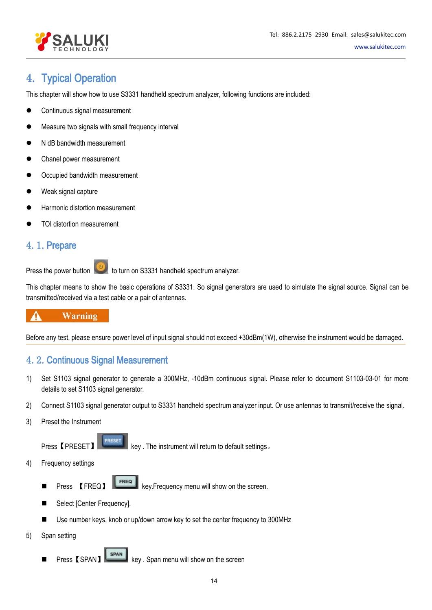

# <span id="page-13-1"></span><span id="page-13-0"></span>4. Typical Operation

This chapter will show how to use S3331 handheld spectrum analyzer, following functions are included:

- Continuous signal measurement
- Measure two signals with small frequency interval
- N dB bandwidth measurement
- Chanel power measurement
- Occupied bandwidth measurement
- Weak signal capture
- Harmonic distortion measurement
- TOI distortion measurement

# 4.1.Prepare

Press the power button to turn on S3331 handheld spectrum analyzer.

This chapter means to show the basic operations of S3331. So signal generators are used to simulate the signal source. Signal can be transmitted/received via a test cable or a pair of antennas.

### **Warning** 4

Before any test, please ensure power level of input signal should not exceed +30dBm(1W), otherwise the instrument would be damaged.

# 4.2.Continuous Signal Measurement

- 1) Set S1103 signal generator to generate a 300MHz, -10dBm continuous signal. Please refer to document S1103-03-01 for more details to set S1103 signal generator.
- 2) Connect S1103 signal generator output to S3331 handheld spectrum analyzer input. Or use antennas to transmit/receive the signal.
- 3) Preset the Instrument

Press 【PRESET】 **key** . The instrument will return to default settings.

- 4) Frequency settings
	- Press 【FREQ】 FREQ key.Frequency menu will show on the screen.
	- Select [Center Frequency].
	- Use number keys, knob or up/down arrow key to set the center frequency to 300MHz
- 5) Span setting
	- Press [SPAN] SPAN key . Span menu will show on the screen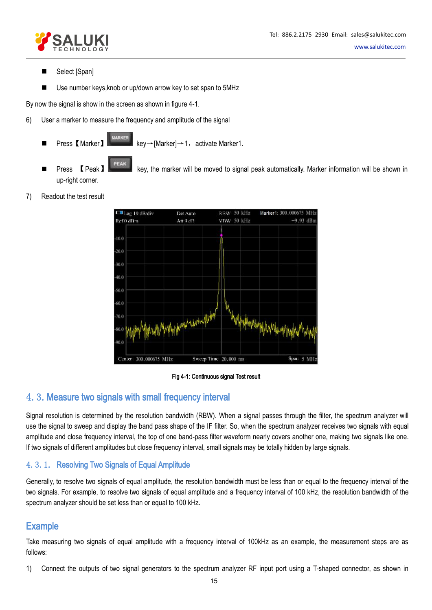

- <span id="page-14-1"></span><span id="page-14-0"></span>Select [Span]
- Use number keys, knob or up/down arrow key to set span to 5MHz

By now the signal is show in the screen as shown in figure 4-1.

- 6) User a marker to measure the frequency and amplitude of the signal
	- Press 【Marker】 **National Rev→[Marker]→1,** activate Marker1.
	- Press 【Peak】 key, the marker will be moved to signal peak automatically. Marker information will be shown in up-right corner.
- 7) Readout the test result



### Fig 4-1: Continuous signal Test result

# 4.3.Measure two signals with small frequency interval

Signal resolution is determined by the resolution bandwidth (RBW). When a signal passes through the filter, the spectrum analyzer will use the signal to sweep and display the band pass shape of the IF filter. So, when the spectrum analyzer receives two signals with equal amplitude and close frequency interval, the top of one band-pass filter waveform nearly covers another one, making two signals like one. If two signals of different amplitudes but close frequency interval, small signals may be totally hidden by large signals.

# 4.3.1. Resolving Two Signals of Equal Amplitude

Generally, to resolve two signals of equal amplitude, the resolution bandwidth must be less than or equal to the frequency interval of the two signals. For example, to resolve two signals of equal amplitude and a frequency interval of 100 kHz, the resolution bandwidth of the spectrum analyzer should be set less than or equal to 100 kHz.

# **Example**

Take measuring two signals of equal amplitude with a frequency interval of 100kHz as an example, the measurement steps are as follows:

1) Connect the outputs of two signal generators to the spectrum analyzer RF input port using a T-shaped connector, as shown in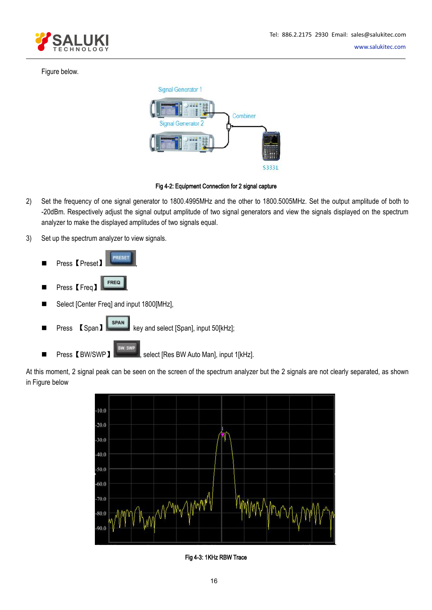

# Figure below.



### Fig 4-2: Equipment Connection for 2 signal capture

- 2) Set the frequency of one signal generator to 1800.4995MHz and the other to 1800.5005MHz. Set the output amplitude of both to -20dBm. Respectively adjust the signal output amplitude of two signal generators and view the signals displayed on the spectrum analyzer to make the displayed amplitudes of two signals equal.
- 3) Set up the spectrum analyzer to view signals.



■ Press【BW/SWP】 | select [Res BW Auto Man], input 1[kHz].

At this moment, 2 signal peak can be seen on the screen of the spectrum analyzer but the 2 signals are not clearly separated, as shown in Figure below



Fig 4-3: 1KHz RBW Trace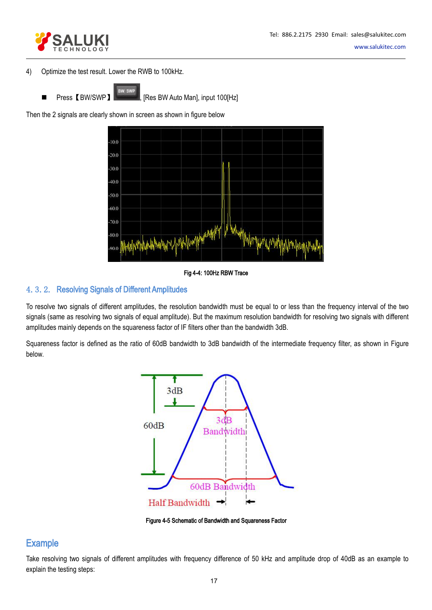

- 4) Optimize the test result. Lower the RWB to 100kHz.
	-

<span id="page-16-0"></span>Press 【BW/SWP】 | [Res BW Auto Man], input 100[Hz]

Then the 2 signals are clearly shown in screen as shown in figure below



Fig 4-4: 100Hz RBW Trace

# 4.3.2. Resolving Signals of Different Amplitudes

To resolve two signals of different amplitudes, the resolution bandwidth must be equal to or less than the frequency interval of the two signals (same as resolving two signals of equal amplitude). But the maximum resolution bandwidth for resolving two signals with different amplitudes mainly depends on the squareness factor of IF filters other than the bandwidth 3dB.

Squareness factor is defined as the ratio of 60dB bandwidth to 3dB bandwidth of the intermediate frequency filter, as shown in Figure below.



Figure 4-5 Schematic of Bandwidth and Squareness Factor

# **Example**

Take resolving two signals of different amplitudes with frequency difference of 50 kHz and amplitude drop of 40dB as an example to explain the testing steps: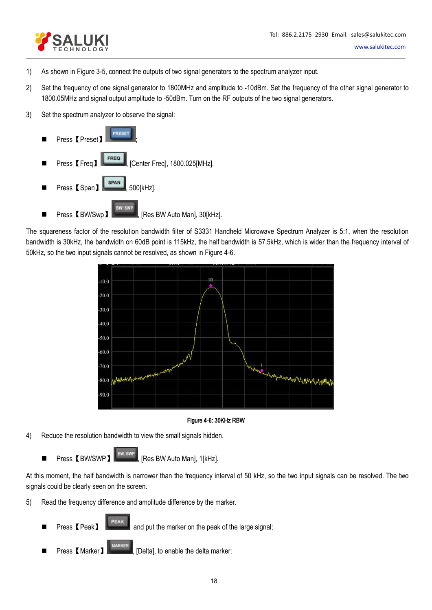

- 1) As shown in Figure 3-5, connect the outputs of two signal generators to the spectrum analyzer input.
- 2) Set the frequency of one signal generator to 1800MHz and amplitude to -10dBm.Set the frequency of the other signal generator to 1800.05MHz and signal output amplitude to -50dBm. Turn on the RF outputs of the two signal generators.
- 3) Set the spectrum analyzer to observe the signal:



The squareness factor of the resolution bandwidth filter of S3331 Handheld Microwave Spectrum Analyzer is 5:1, when the resolution bandwidth is 30kHz, the bandwidth on 60dB point is 115kHz, the half bandwidth is 57.5kHz, which is wider than the frequency interval of 50kHz, so the two input signals cannot be resolved, as shown in Figure 4-6.



### Figure 4-6: 30KHz RBW

- 4) Reduce the resolution bandwidth to view the small signals hidden.
	- Press 【BW/SWP】 **BW/SWP**, [Res BW Auto Man], 1[kHz].

At this moment, the half bandwidth is narrower than the frequency interval of 50 kHz, so the two input signals can be resolved. The two signals could be clearly seen on the screen.

- 5) Read the frequency difference and amplitude difference by the marker.
	- **Press [Peak]** FEAR and put the marker on the peak of the large signal;
	- Press **[Marker**] **MARKER** , [Delta], to enable the delta marker;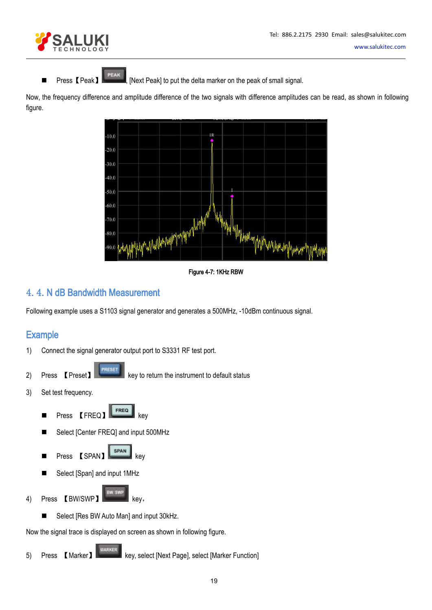

<span id="page-18-0"></span>■ Press【Peak】 PEAK , [Next Peak] to put the delta marker on the peak of small signal.

Now, the frequency difference and amplitude difference of the two signals with difference amplitudes can be read, as shown in following figure.



Figure 4-7: 1KHz RBW

# 4.4.N dB Bandwidth Measurement

Following example uses a S1103 signal generator and generates a 500MHz, -10dBm continuous signal.

# **Example**

- 1) Connect the signal generator output port to S3331 RF test port.
- RESET 2) Press **[Preset] Reset Resource A Reset Reset Reset Reset Reset Reset Reset Reset Reset Reset Reset Reset Reset Reset Reset Reset Reset Reset Reset Reset Reset Reset Reset Reset Reset Reset Reset Reset Reset Reset Rese**
- 3) Set test frequency.
	- **Press 【FREQ】** FREQ. key
	- Select [Center FREQ] and input 500MHz



- Select [Span] and input 1MHz
- 4) Press 【BW/SWP】 key,
	-

■ Select [Res BW Auto Man] and input 30kHz.<br>Now the signal trace is displayed on screen as shown in following figure.

5) Press 【Marker】 key, select [Next Page], select [Marker Function]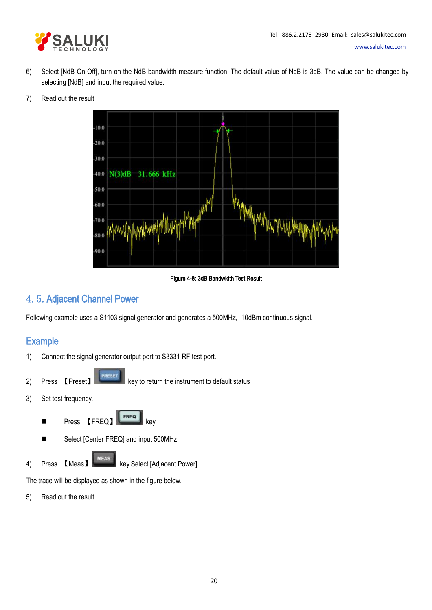

<span id="page-19-0"></span>6) Select [NdB On Off], turn on the NdB bandwidth measure function. The default value of NdB is 3dB. The value can be changed by selecting [NdB] and input the required value.

### 7) Read out the result



### Figure 4-8: 3dB Bandwidth Test Result

# 4.5.Adjacent Channel Power

Following example uses a S1103 signal generator and generates a 500MHz, -10dBm continuous signal.

# **Example**

- 1) Connect the signal generator output port to S3331 RF test port.
- 2) Press **[Preset] Resource A key to return the instrument to default status**
- 3) Set test frequency.
	- Press 【FREQ】 FREQ key
	- Select [Center FREQ] and input 500MHz
- 4) Press **K**Meas **MEAS** key.Select [Adjacent Power]

The trace will be displayed as shown in the figure below.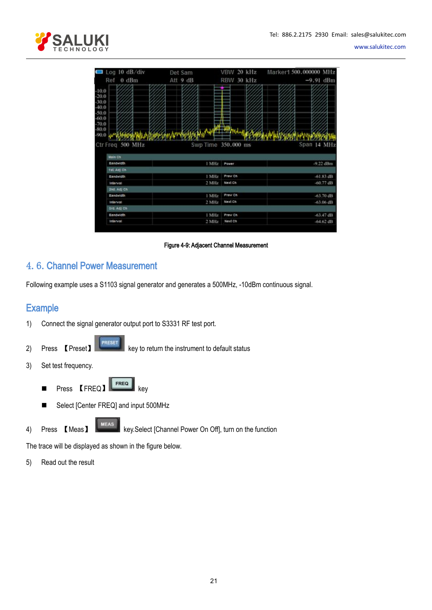<span id="page-20-0"></span>

| $\Box$ Log 10 dB/div | Det Sam  | VBW 20 kHz          | Marker1 500,000000 MHz |
|----------------------|----------|---------------------|------------------------|
| Ref 0 dBm            | Att 9 dB | RBW 30 kHz          | $-9.91$ dBm            |
| $-10.0$              |          |                     |                        |
| $-20.0$              |          |                     |                        |
| $-30.0$              |          |                     |                        |
| $-40.0$              |          |                     |                        |
| $-50.0$<br>$-60.0$   |          |                     |                        |
| $-70.0$              |          |                     |                        |
| $-80.0$              |          |                     |                        |
| 90.0                 |          |                     |                        |
| Ctr Freq 500 MHz     |          | Swp Time 350,000 ms | Span 14 MHz            |
|                      |          |                     |                        |
|                      |          |                     |                        |
| Main Ch              |          |                     |                        |
| Bandwidth            |          | 1 MHz<br>Power      | -9.22 dBm              |
| 1st Adj Ch           |          |                     |                        |
| Bandwidth            |          | Prev Ch<br>1 MHz    | $-61.83 dB$            |
| Interval             |          | 2 MHz<br>Next Ch    | $-60.77$ dB            |
| 2nd. Adj Ch          |          |                     |                        |
| Bandwidth            |          | Prev Ch<br>1 MHz    | $-63,70$ dB            |
| Interval             |          | Next Ch<br>2 MHz    | $-63.06$ dB            |
| Srd. Adj Ch          |          |                     |                        |
| Bandwidth            |          | 1 MHz<br>Prev Ch    | $-63.47$ dB            |

Figure 4-9: Adjacent Channel Measurement

# 4.6.Channel Power Measurement

Following example uses a S1103 signal generator and generates a 500MHz, -10dBm continuous signal.

# **Example**

- 1) Connect the signal generator output port to S3331 RF test port.
- RESET 2) Press **[Preset] Reset Reset Reset Reset Reset Reset Reset Reset Reset Reset Reset Reset Reset Reset Reset Reset Reset Reset Reset Reset Reset Reset Reset Reset Reset Reset Reset Reset Reset Reset Reset Reset Reset Res**
- 3) Set test frequency.
	- **Press 【FREQ】** FREQ key
	- Select [Center FREQ] and input 500MHz
- 4) Press 【Meas】 key.Select [Channel Power On Off], turn on the function

The trace will be displayed as shown in the figure below.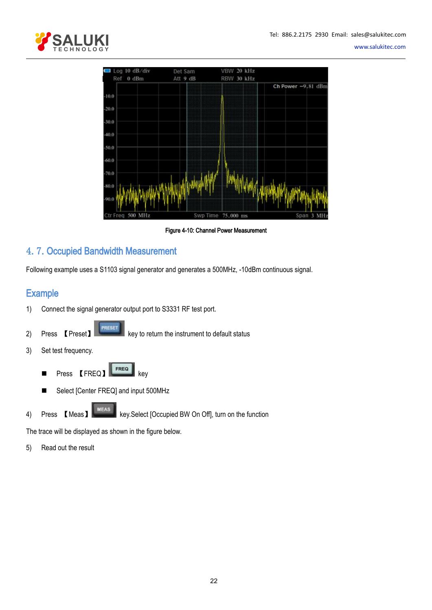<span id="page-21-0"></span>

[www.salukitec.com](http://www.salukitec.com)



Figure 4-10: Channel Power Measurement

# 4.7.Occupied Bandwidth Measurement

Following example uses a S1103 signal generator and generates a 500MHz, -10dBm continuous signal.

# **Example**

- 1) Connect the signal generator output port to S3331 RF test port.
- 2) Press **[Preset]** PRESET key to return the instrument to default status
- 3) Set test frequency.
	- Press **[FREQ] key**
	- Select [Center FREQ] and input 500MHz
- 

4) Press 【Meas】 key.Select [Occupied BW On Off], turn on the function

The trace will be displayed as shown in the figure below.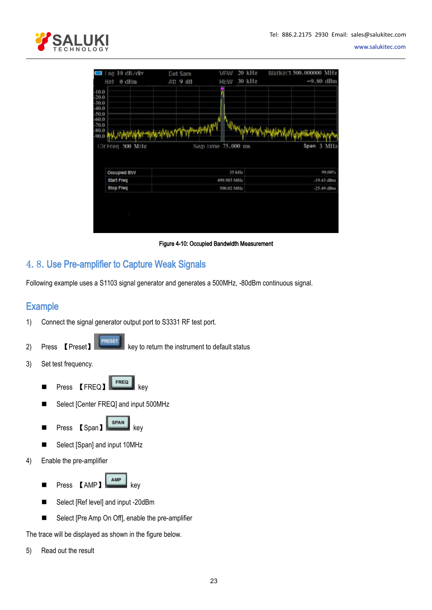<span id="page-22-0"></span>

| l'og 10 dB/div     | Det Sam           | VEW         | 20 kHz | Marker1 500.000000 MHz |              |
|--------------------|-------------------|-------------|--------|------------------------|--------------|
| Ref 0 dBm          | Att 9 dB          | <b>KRM</b>  | 30 kHz |                        | $-9.80$ dBm  |
| $-10.0$            |                   |             |        |                        |              |
| $-20.0$<br>$-30.0$ |                   |             |        |                        |              |
| $-40.0$            |                   |             |        |                        |              |
| $-50.0$            |                   |             |        |                        |              |
| $-70.0$            |                   |             |        |                        |              |
| $-80.0$<br>$-90.0$ | MANAMANY VYMANAMY |             |        |                        |              |
|                    |                   |             |        |                        |              |
|                    |                   |             |        |                        |              |
| Etriced 500 MHz    | Swn 1me 75,000 ms |             |        |                        | Span 3 MHz   |
|                    |                   |             |        |                        |              |
| Occupied BW        |                   | 35 kHz      |        |                        | 99,00%       |
| <b>Start Freq</b>  |                   | 499.985 MHz |        |                        | $-19.43$ dBm |
| <b>Stop Freq</b>   |                   | 500.02 MHz  |        |                        | $-25.49$ dBm |
|                    |                   |             |        |                        |              |
|                    |                   |             |        |                        |              |
| ٠                  |                   |             |        |                        |              |
|                    |                   |             |        |                        |              |

Figure 4-10: Occupied Bandwidth Measurement

# 4.8.Use Pre-amplifier to Capture Weak Signals

Following example uses a S1103 signal generator and generates a 500MHz, -80dBm continuous signal.

# **Example**

- 1) Connect the signal generator output port to S3331 RF test port.
- 

RESET

2) Press **[Preset] Resect Resect Reserves** Rey to return the instrument to default status

- 3) Set test frequency.
	- **Press 【FREQ】** FREQ. key
	- Select [Center FREQ] and input 500MHz
	- Press 【Span】 SPAN】 key
	- Select [Span] and input 10MHz
- 4) Enable the pre-amplifier
	- Press 【AMP】
	- Select [Ref level] and input -20dBm
	- Select [Pre Amp On Off], enable the pre-amplifier

The trace will be displayed as shown in the figure below.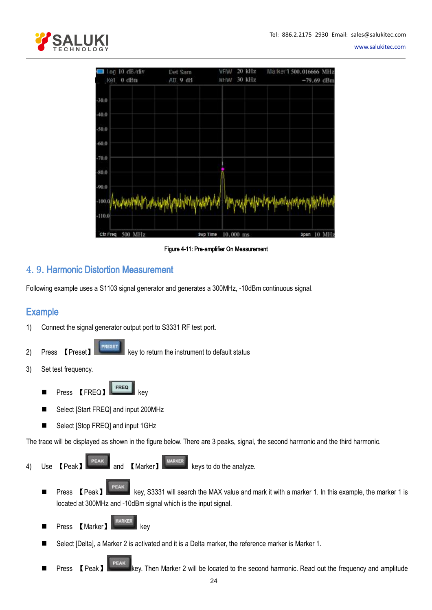<span id="page-23-0"></span>

| lon 10 dB/div       | Det Sam         | 20 kHz<br>VEW        | Marker1 500.016666 MHz                                           |
|---------------------|-----------------|----------------------|------------------------------------------------------------------|
| Ret 0 dBm           | Att 9 dB        | 30 kHz<br><b>RHW</b> | $-79.69$ dBm                                                     |
| $-30.0$             |                 |                      |                                                                  |
| $-40.0$             |                 |                      |                                                                  |
| $-50.0$             |                 |                      |                                                                  |
| $-60.0$             |                 |                      |                                                                  |
| $-70.0$             |                 |                      |                                                                  |
| $-80.0$             |                 |                      |                                                                  |
| $-90.0$             |                 |                      |                                                                  |
| $-100.0$            |                 |                      | /www.nutukhumityphyphythyhyhyhyhyhyh/www.nutukhumity.nutuh/hyh/h |
| $-110.0$            |                 |                      |                                                                  |
| 500 MHz<br>Ctr Freq | <b>Swp Time</b> | 10.000 ms            | span 10 MHz                                                      |

Figure 4-11: Pre-amplifier On Measurement

# 4.9.Harmonic Distortion Measurement

Following example uses a S1103 signal generator and generates a 300MHz, -10dBm continuous signal.

# **Example**

- 1) Connect the signal generator output port to S3331 RF test port.
- 2) Press **[Preset] Resource A key to return the instrument to default status**
- 3) Set test frequency.
	- Press **[FREQ]** key
	- Select [Start FREQ] and input 200MHz
	- Select [Stop FREQ] and input 1GHz

The trace will be displayed as shown in the figure below. There are 3 peaks, signal, the second harmonic and the third harmonic.

- 4) Use **[**Peak**]** PEAK and **[MARKER** MARKER Keys to do the analyze.
	- Press 【Peak】 PEAK key, S3331 will search the MAX value and mark it with a marker 1. In this example, the marker 1 is located at 300MHz and -10dBm signal which is the input signal.
	- Press 【Marker】 **Keywer** key
	- Select [Delta], a Marker 2 is activated and it is a Delta marker, the reference marker is Marker 1.
	- Press **[PEAK]** PEAK key. Then Marker 2 will be located to the second harmonic. Read out the frequency and amplitude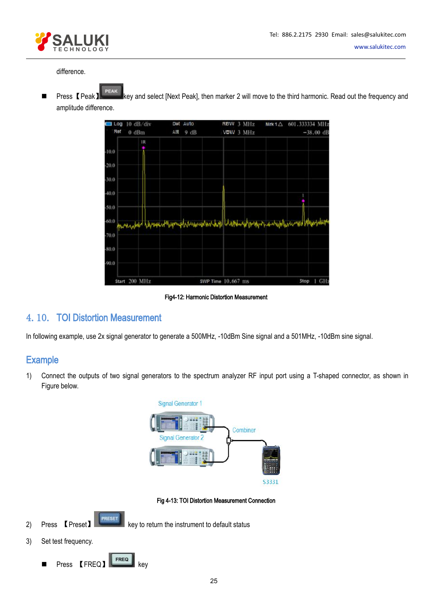

# <span id="page-24-0"></span>difference.

■ Press【Peak】 PEAK】 Rey and select [Next Peak], then marker 2 will move to the third harmonic. Read out the frequency and amplitude difference.



Fig4-12: Harmonic Distortion Measurement

# 4.10. TOI Distortion Measurement

In following example, use 2x signal generator to generate a 500MHz, -10dBm Sine signal and a 501MHz, -10dBm sine signal.

# **Example**

1) Connect the outputs of two signal generators to the spectrum analyzer RF input port using a T-shaped connector, as shown in Figure below.



Fig 4-13: TOI Distortion Measurement Connection

**PRESE** 2) Press **[Preset] Reset Reset Reset Reset Reset Reset Reset Reset Reset Reset Reset Reset Reset Reset Reset Reset Reset Reset Reset Reset Reset Reset Reset Reset Reset Reset Reset Reset Reset Reset Reset Reset Reset Res** 

3) Set test frequency.

**Press 【FREQ】** FREQ】 key